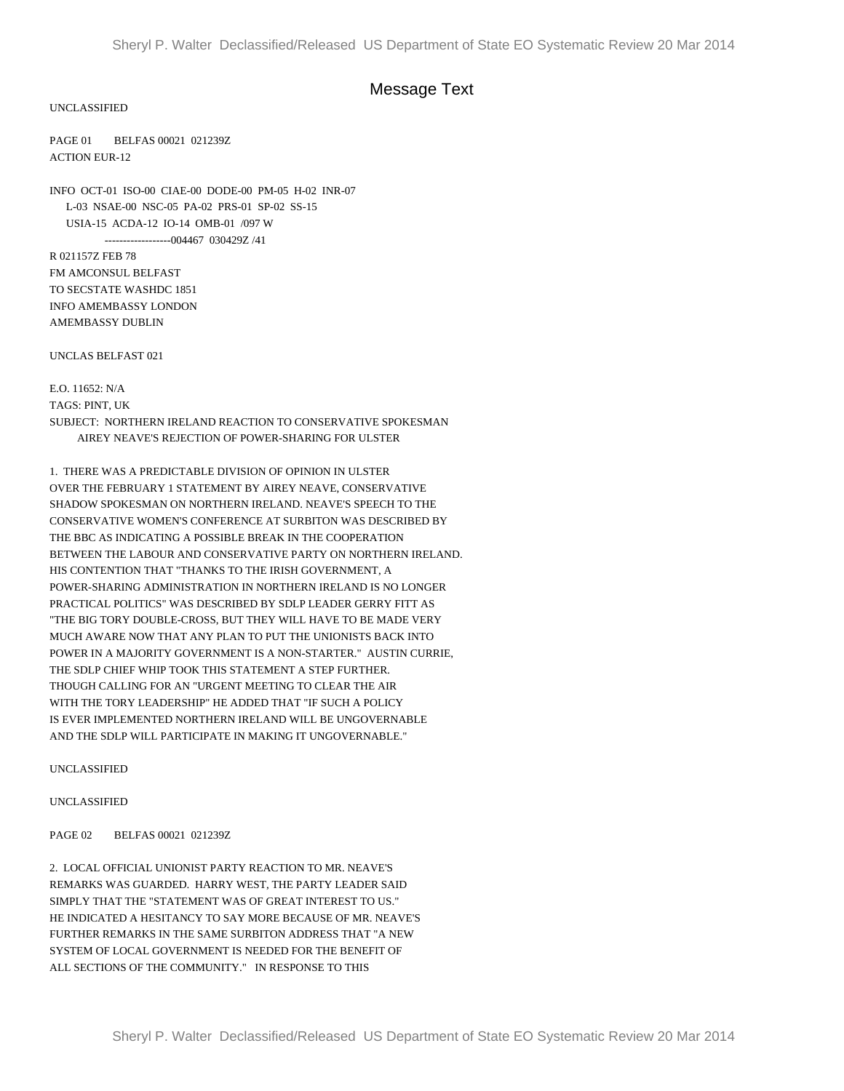## Message Text

UNCLASSIFIED

PAGE 01 BELFAS 00021 021239Z ACTION EUR-12

INFO OCT-01 ISO-00 CIAE-00 DODE-00 PM-05 H-02 INR-07 L-03 NSAE-00 NSC-05 PA-02 PRS-01 SP-02 SS-15 USIA-15 ACDA-12 IO-14 OMB-01 /097 W ------------------004467 030429Z /41

R 021157Z FEB 78 FM AMCONSUL BELFAST TO SECSTATE WASHDC 1851 INFO AMEMBASSY LONDON AMEMBASSY DUBLIN

UNCLAS BELFAST 021

E.O. 11652: N/A TAGS: PINT, UK SUBJECT: NORTHERN IRELAND REACTION TO CONSERVATIVE SPOKESMAN AIREY NEAVE'S REJECTION OF POWER-SHARING FOR ULSTER

1. THERE WAS A PREDICTABLE DIVISION OF OPINION IN ULSTER OVER THE FEBRUARY 1 STATEMENT BY AIREY NEAVE, CONSERVATIVE SHADOW SPOKESMAN ON NORTHERN IRELAND. NEAVE'S SPEECH TO THE CONSERVATIVE WOMEN'S CONFERENCE AT SURBITON WAS DESCRIBED BY THE BBC AS INDICATING A POSSIBLE BREAK IN THE COOPERATION BETWEEN THE LABOUR AND CONSERVATIVE PARTY ON NORTHERN IRELAND. HIS CONTENTION THAT "THANKS TO THE IRISH GOVERNMENT, A POWER-SHARING ADMINISTRATION IN NORTHERN IRELAND IS NO LONGER PRACTICAL POLITICS" WAS DESCRIBED BY SDLP LEADER GERRY FITT AS "THE BIG TORY DOUBLE-CROSS, BUT THEY WILL HAVE TO BE MADE VERY MUCH AWARE NOW THAT ANY PLAN TO PUT THE UNIONISTS BACK INTO POWER IN A MAJORITY GOVERNMENT IS A NON-STARTER." AUSTIN CURRIE, THE SDLP CHIEF WHIP TOOK THIS STATEMENT A STEP FURTHER. THOUGH CALLING FOR AN "URGENT MEETING TO CLEAR THE AIR WITH THE TORY LEADERSHIP" HE ADDED THAT "IF SUCH A POLICY IS EVER IMPLEMENTED NORTHERN IRELAND WILL BE UNGOVERNABLE AND THE SDLP WILL PARTICIPATE IN MAKING IT UNGOVERNABLE."

UNCLASSIFIED

UNCLASSIFIED

PAGE 02 BELFAS 00021 021239Z

2. LOCAL OFFICIAL UNIONIST PARTY REACTION TO MR. NEAVE'S REMARKS WAS GUARDED. HARRY WEST, THE PARTY LEADER SAID SIMPLY THAT THE "STATEMENT WAS OF GREAT INTEREST TO US." HE INDICATED A HESITANCY TO SAY MORE BECAUSE OF MR. NEAVE'S FURTHER REMARKS IN THE SAME SURBITON ADDRESS THAT "A NEW SYSTEM OF LOCAL GOVERNMENT IS NEEDED FOR THE BENEFIT OF ALL SECTIONS OF THE COMMUNITY." IN RESPONSE TO THIS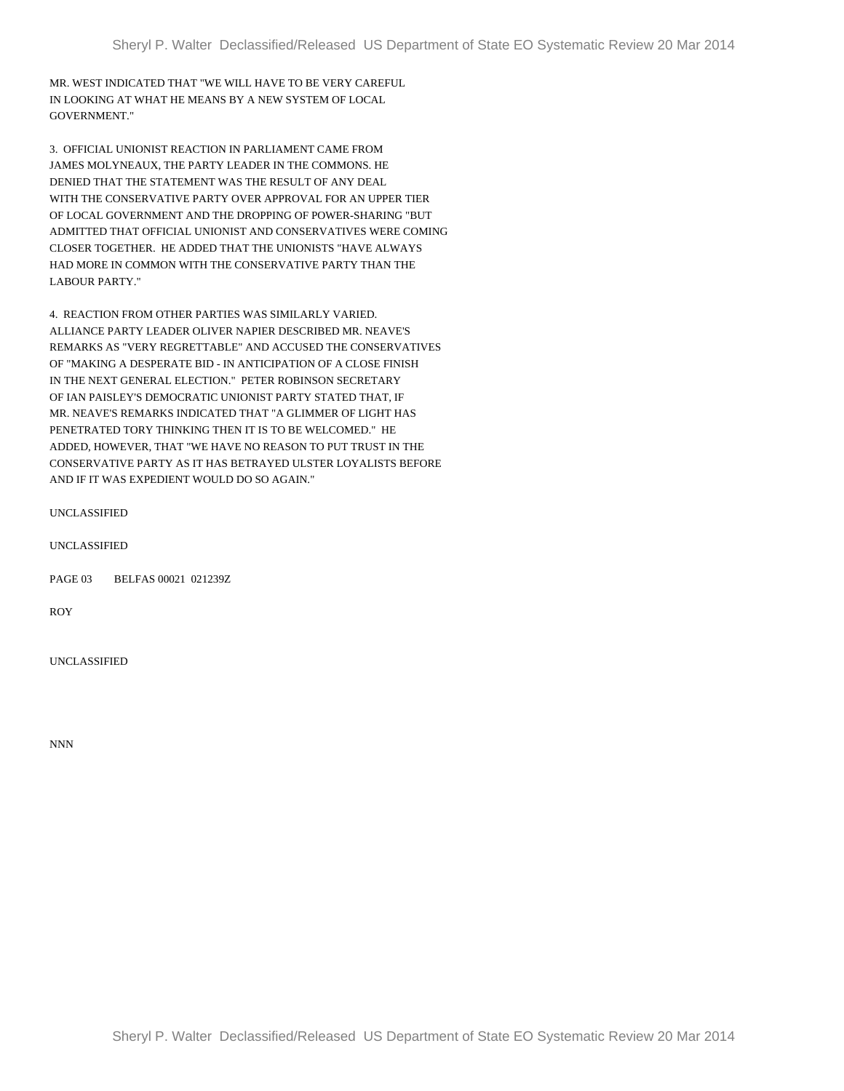MR. WEST INDICATED THAT "WE WILL HAVE TO BE VERY CAREFUL IN LOOKING AT WHAT HE MEANS BY A NEW SYSTEM OF LOCAL GOVERNMENT."

3. OFFICIAL UNIONIST REACTION IN PARLIAMENT CAME FROM JAMES MOLYNEAUX, THE PARTY LEADER IN THE COMMONS. HE DENIED THAT THE STATEMENT WAS THE RESULT OF ANY DEAL WITH THE CONSERVATIVE PARTY OVER APPROVAL FOR AN UPPER TIER OF LOCAL GOVERNMENT AND THE DROPPING OF POWER-SHARING "BUT ADMITTED THAT OFFICIAL UNIONIST AND CONSERVATIVES WERE COMING CLOSER TOGETHER. HE ADDED THAT THE UNIONISTS "HAVE ALWAYS HAD MORE IN COMMON WITH THE CONSERVATIVE PARTY THAN THE LABOUR PARTY."

4. REACTION FROM OTHER PARTIES WAS SIMILARLY VARIED. ALLIANCE PARTY LEADER OLIVER NAPIER DESCRIBED MR. NEAVE'S REMARKS AS "VERY REGRETTABLE" AND ACCUSED THE CONSERVATIVES OF "MAKING A DESPERATE BID - IN ANTICIPATION OF A CLOSE FINISH IN THE NEXT GENERAL ELECTION." PETER ROBINSON SECRETARY OF IAN PAISLEY'S DEMOCRATIC UNIONIST PARTY STATED THAT, IF MR. NEAVE'S REMARKS INDICATED THAT "A GLIMMER OF LIGHT HAS PENETRATED TORY THINKING THEN IT IS TO BE WELCOMED." HE ADDED, HOWEVER, THAT "WE HAVE NO REASON TO PUT TRUST IN THE CONSERVATIVE PARTY AS IT HAS BETRAYED ULSTER LOYALISTS BEFORE AND IF IT WAS EXPEDIENT WOULD DO SO AGAIN."

UNCLASSIFIED

PAGE 03 BELFAS 00021 021239Z

ROY

UNCLASSIFIED

NNN